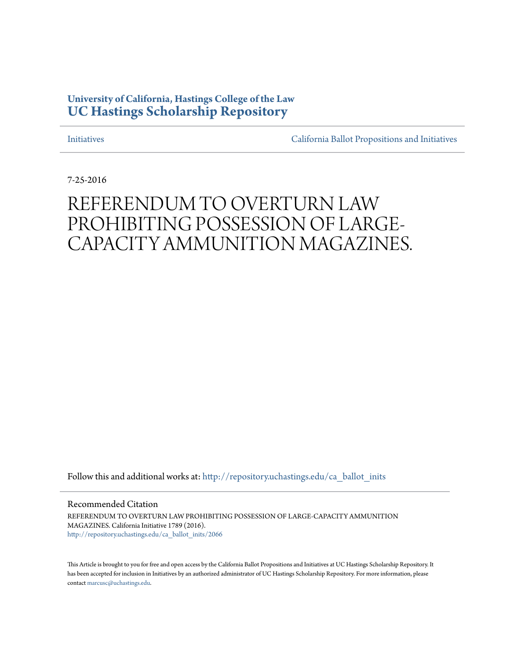# **University of California, Hastings College of the Law [UC Hastings Scholarship Repository](http://repository.uchastings.edu?utm_source=repository.uchastings.edu%2Fca_ballot_inits%2F2066&utm_medium=PDF&utm_campaign=PDFCoverPages)**

[Initiatives](http://repository.uchastings.edu/ca_ballot_inits?utm_source=repository.uchastings.edu%2Fca_ballot_inits%2F2066&utm_medium=PDF&utm_campaign=PDFCoverPages) [California Ballot Propositions and Initiatives](http://repository.uchastings.edu/ca_ballots?utm_source=repository.uchastings.edu%2Fca_ballot_inits%2F2066&utm_medium=PDF&utm_campaign=PDFCoverPages)

7-25-2016

# REFERENDUM TO OVERTURN LAW PROHIBITING POSSESSION OF LARGE-CAPACITY AMMUNITION MAGAZINES.

Follow this and additional works at: [http://repository.uchastings.edu/ca\\_ballot\\_inits](http://repository.uchastings.edu/ca_ballot_inits?utm_source=repository.uchastings.edu%2Fca_ballot_inits%2F2066&utm_medium=PDF&utm_campaign=PDFCoverPages)

Recommended Citation

REFERENDUM TO OVERTURN LAW PROHIBITING POSSESSION OF LARGE-CAPACITY AMMUNITION MAGAZINES. California Initiative 1789 (2016). [http://repository.uchastings.edu/ca\\_ballot\\_inits/2066](http://repository.uchastings.edu/ca_ballot_inits/2066?utm_source=repository.uchastings.edu%2Fca_ballot_inits%2F2066&utm_medium=PDF&utm_campaign=PDFCoverPages)

This Article is brought to you for free and open access by the California Ballot Propositions and Initiatives at UC Hastings Scholarship Repository. It has been accepted for inclusion in Initiatives by an authorized administrator of UC Hastings Scholarship Repository. For more information, please contact [marcusc@uchastings.edu](mailto:marcusc@uchastings.edu).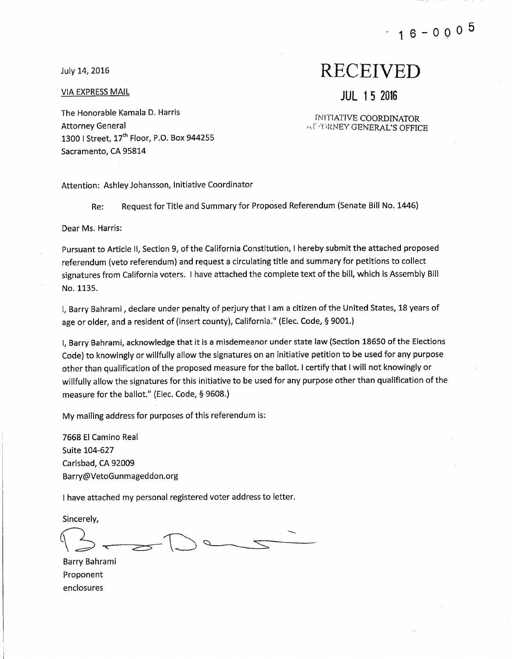July 14, 2016

VIA EXPRESS MAIL

# The Honorable Kamala D. Harris **Attorney General** 1300 | Street, 17<sup>th</sup> Floor, P.O. Box 944255 Sacramento, CA 95814

#### Attention: Ashley Johansson, Initiative Coordinator

Request for Title and Summary for Proposed Referendum (Senate Bill No. 1446) Re:

Dear Ms. Harris:

Pursuant to Article II, Section 9, of the California Constitution, I hereby submit the attached proposed referendum (veto referendum) and request a circulating title and summary for petitions to collect signatures from California voters. I have attached the complete text of the bill, which is Assembly Bill No. 1135.

I. Barry Bahrami, declare under penalty of perjury that I am a citizen of the United States, 18 years of age or older, and a resident of (insert county), California." (Elec. Code, § 9001.)

I. Barry Bahrami, acknowledge that it is a misdemeanor under state law (Section 18650 of the Elections Code) to knowingly or willfully allow the signatures on an initiative petition to be used for any purpose other than qualification of the proposed measure for the ballot. I certify that I will not knowingly or willfully allow the signatures for this initiative to be used for any purpose other than qualification of the measure for the ballot." (Elec. Code, § 9608.)

My mailing address for purposes of this referendum is:

7668 El Camino Real Suite 104-627 Carlsbad, CA 92009 Barry@VetoGunmageddon.org

I have attached my personal registered voter address to letter.

Sincerely,

Barry Bahrami Proponent enclosures

# **RECEIVED**

**JUL 15 2016** 

**INITIATIVE COORDINATOR AT TERNEY GENERAL'S OFFICE**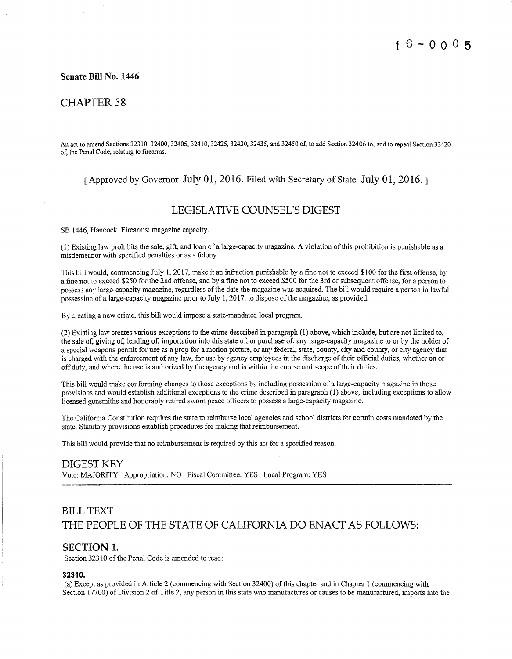#### Senate Bill No. 1446

## **CHAPTER 58**

An act to amend Sections 32310, 32400, 32405, 32410, 32425, 32430, 32435, and 32450 of, to add Section 32406 to, and to repeal Section 32420 of, the Penal Code, relating to firearms.

#### Approved by Governor July 01, 2016. Filed with Secretary of State July 01, 2016.

## **LEGISLATIVE COUNSEL'S DIGEST**

SB 1446, Hancock. Firearms: magazine capacity.

(1) Existing law prohibits the sale, gift, and loan of a large-capacity magazine. A violation of this prohibition is punishable as a misdemeanor with specified penalties or as a felony.

This bill would, commencing July 1, 2017, make it an infraction punishable by a fine not to exceed \$100 for the first offense, by a fine not to exceed \$250 for the 2nd offense, and by a fine not to exceed \$500 for the 3rd or subsequent offense, for a person to possess any large-capacity magazine, regardless of the date the magazine was acquired. The bill would require a person in lawful possession of a large-capacity magazine prior to July 1, 2017, to dispose of the magazine, as provided.

By creating a new crime, this bill would impose a state-mandated local program.

(2) Existing law creates various exceptions to the crime described in paragraph (1) above, which include, but are not limited to, the sale of, giving of, lending of, importation into this state of, or purchase of, any large-capacity magazine to or by the holder of a special weapons permit for use as a prop for a motion picture, or any federal, state, county, city and county, or city agency that is charged with the enforcement of any law, for use by agency employees in the discharge of their official duties, whether on or off duty, and where the use is authorized by the agency and is within the course and scope of their duties.

This bill would make conforming changes to those exceptions by including possession of a large-capacity magazine in those provisions and would establish additional exceptions to the crime described in paragraph (1) above, including exceptions to allow licensed gunsmiths and honorably retired sworn peace officers to possess a large-capacity magazine.

The California Constitution requires the state to reimburse local agencies and school districts for certain costs mandated by the state. Statutory provisions establish procedures for making that reimbursement.

This bill would provide that no reimbursement is required by this act for a specified reason.

#### **DIGEST KEY**

Vote: MAJORITY Appropriation: NO Fiscal Committee: YES Local Program: YES

# **BILL TEXT** THE PEOPLE OF THE STATE OF CALIFORNIA DO ENACT AS FOLLOWS:

#### **SECTION 1.**

Section 32310 of the Penal Code is amended to read:

#### 32310

(a) Except as provided in Article 2 (commencing with Section 32400) of this chapter and in Chapter 1 (commencing with Section 17700) of Division 2 of Title 2, any person in this state who manufactures or causes to be manufactured, imports into the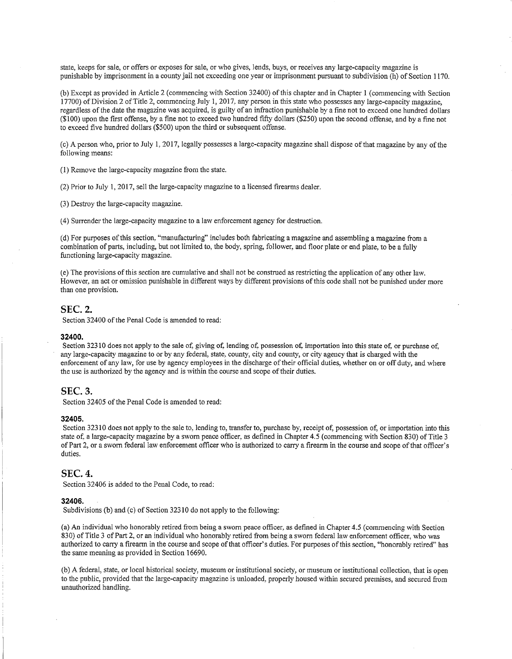state, keeps for sale, or offers or exposes for sale, or who gives, lends, buys, or receives any large-capacity magazine is punishable by imprisonment in a county jail not exceeding one year or imprisonment pursuant to subdivision (h) of Section 1170.

(b) Except as provided in Article 2 (commencing with Section 32400) of this chapter and in Chapter 1 (commencing with Section  $17700$  of Division 2 of Title 2, commencing July 1, 2017, any person in this state who possesses any large-capacity magazine. regardless of the date the magazine was acquired, is guilty of an infraction punishable by a fine not to exceed one hundred dollars (\$100) upon the first offense, by a fine not to exceed two hundred fifty dollars (\$250) upon the second offense, and by a fine not to exceed five hundred dollars (\$500) upon the third or subsequent offense.

(c) A person who, prior to July 1, 2017, legally possesses a large-capacity magazine shall dispose of that magazine by any of the following means:

(1) Remove the large-capacity magazine from the state.

(2) Prior to July 1, 2017, sell the large-capacity magazine to a licensed firearms dealer.

(3) Destroy the large-capacity magazine.

(4) Surrender the large-capacity magazine to a law enforcement agency for destruction.

(d) For purposes of this section, "manufacturing" includes both fabricating a magazine and assembling a magazine from a combination of parts, including, but not limited to, the body, spring, follower, and floor plate or end plate, to be a fully functioning large-capacity magazine.

(e) The provisions of this section are cumulative and shall not be construed as restricting the application of any other law. However, an act or omission punishable in different ways by different provisions of this code shall not be punished under more than one provision.

#### **SEC. 2.**

Section 32400 of the Penal Code is amended to read:

#### 32400.

Section 32310 does not apply to the sale of, giving of, lending of, possession of, importation into this state of, or purchase of, any large-capacity magazine to or by any federal, state, county, city and county, or city agency that is charged with the enforcement of any law, for use by agency employees in the discharge of their official duties, whether on or off duty, and where the use is authorized by the agency and is within the course and scope of their duties.

#### **SEC. 3.**

Section 32405 of the Penal Code is amended to read:

#### 32405.

Section 32310 does not apply to the sale to, lending to, transfer to, purchase by, receipt of, possession of, or importation into this state of, a large-capacity magazine by a sworn peace officer, as defined in Chapter 4.5 (commencing with Section 830) of Title 3 of Part 2, or a sworn federal law enforcement officer who is authorized to carry a firearm in the course and scope of that officer's duties.

#### **SEC. 4.**

Section 32406 is added to the Penal Code, to read:

#### 32406.

Subdivisions (b) and (c) of Section 32310 do not apply to the following:

(a) An individual who honorably retired from being a sworn peace officer, as defined in Chapter 4.5 (commencing with Section 830) of Title 3 of Part 2, or an individual who honorably retired from being a sworn federal law enforcement officer, who was authorized to carry a firearm in the course and scope of that officer's duties. For purposes of this section, "honorably retired" has the same meaning as provided in Section 16690.

(b) A federal, state, or local historical society, museum or institutional society, or museum or institutional collection, that is open to the public, provided that the large-capacity magazine is unloaded, properly housed within secured premises, and secured from unauthorized handling.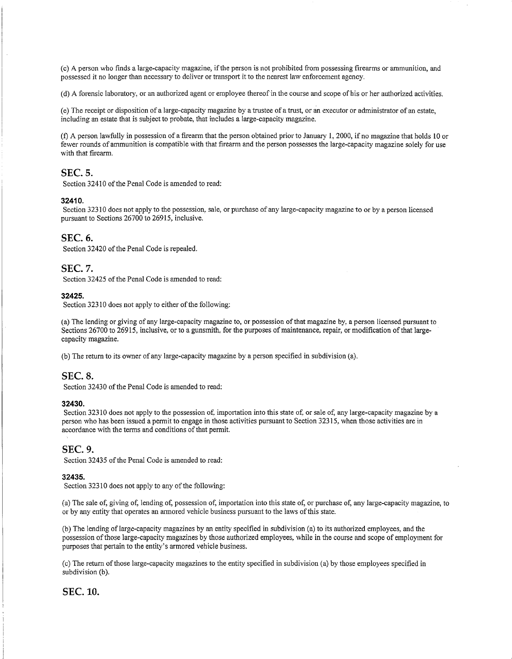(c) A person who finds a large-capacity magazine, if the person is not prohibited from possessing firearms or ammunition, and possessed it no longer than necessary to deliver or transport it to the nearest law enforcement agency.

(d) A forensic laboratory, or an authorized agent or employee thereof in the course and scope of his or her authorized activities.

(e) The receipt or disposition of a large-capacity magazine by a trustee of a trust, or an executor or administrator of an estate. including an estate that is subject to probate, that includes a large-capacity magazine.

(f) A person lawfully in possession of a firearm that the person obtained prior to January 1, 2000, if no magazine that holds 10 or fewer rounds of ammunition is compatible with that firearm and the person possesses the large-capacity magazine solely for use with that firearm.

## **SEC. 5.**

Section 32410 of the Penal Code is amended to read:

#### 32410.

Section 32310 does not apply to the possession, sale, or purchase of any large-capacity magazine to or by a person licensed pursuant to Sections 26700 to 26915, inclusive.

#### **SEC. 6.**

Section 32420 of the Penal Code is repealed.

#### **SEC. 7.**

Section 32425 of the Penal Code is amended to read:

#### 32425.

Section 32310 does not apply to either of the following:

(a) The lending or giving of any large-capacity magazine to, or possession of that magazine by, a person licensed pursuant to Sections 26700 to 26915, inclusive, or to a gunsmith, for the purposes of maintenance, repair, or modification of that largecapacity magazine.

(b) The return to its owner of any large-capacity magazine by a person specified in subdivision (a).

### **SEC. 8.**

Section 32430 of the Penal Code is amended to read:

#### 32430.

Section 32310 does not apply to the possession of, importation into this state of, or sale of, any large-capacity magazine by a person who has been issued a permit to engage in those activities pursuant to Section 32315, when those activities are in accordance with the terms and conditions of that permit.

#### **SEC. 9.**

Section 32435 of the Penal Code is amended to read:

#### 32435.

Section 32310 does not apply to any of the following:

(a) The sale of, giving of, lending of, possession of, importation into this state of, or purchase of, any large-capacity magazine, to or by any entity that operates an armored vehicle business pursuant to the laws of this state.

(b) The lending of large-capacity magazines by an entity specified in subdivision (a) to its authorized employees, and the possession of those large-capacity magazines by those authorized employees, while in the course and scope of employment for purposes that pertain to the entity's armored vehicle business.

(c) The return of those large-capacity magazines to the entity specified in subdivision (a) by those employees specified in subdivision (b).

#### **SEC. 10.**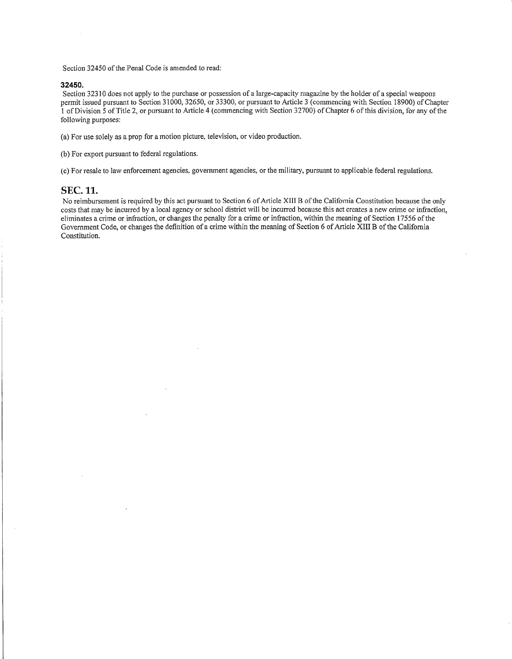Section 32450 of the Penal Code is amended to read:

#### 32450.

Section 32310 does not apply to the purchase or possession of a large-capacity magazine by the holder of a special weapons permit issued pursuant to Section 31000, 32650, or 33300, or pursuant to Article 3 (commencing with Section 18900) of Chapter 1 of Division 5 of Title 2, or pursuant to Article 4 (commencing with Section 32700) of Chapter 6 of this division, for any of the following purposes:

(a) For use solely as a prop for a motion picture, television, or video production.

(b) For export pursuant to federal regulations.

(c) For resale to law enforcement agencies, government agencies, or the military, pursuant to applicable federal regulations.

#### **SEC. 11.**

No reimbursement is required by this act pursuant to Section 6 of Article XIII B of the California Constitution because the only costs that may be incurred by a local agency or school district will be incurred because this act creates a new crime or infraction, eliminates a crime or infraction, or changes the penalty for a crime or infraction, within the meaning of Section 17556 of the Government Code, or changes the definition of a crime within the meaning of Section 6 of Article XIII B of the California Constitution.